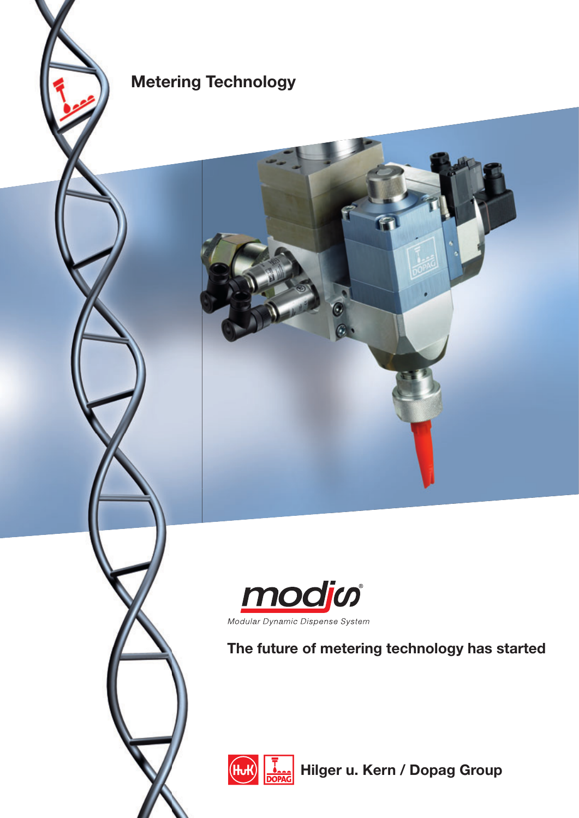

# ∣(Hul

**Hilger u. Kern / Dopag Group** 



Modular Dynamic Dispense System

## **The future of metering technology has started**

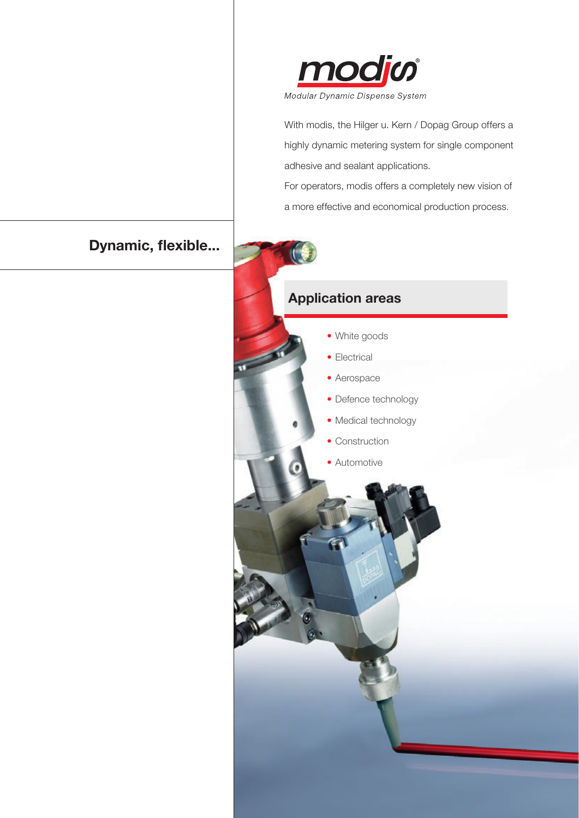

With modis, the Hilger u. Kern / Dopag Group offers a highly dynamic metering system for single component adhesive and sealant applications.

For operators, modis offers a completely new vision of a more effective and economical production process.

## **Dynamic, flexible...**

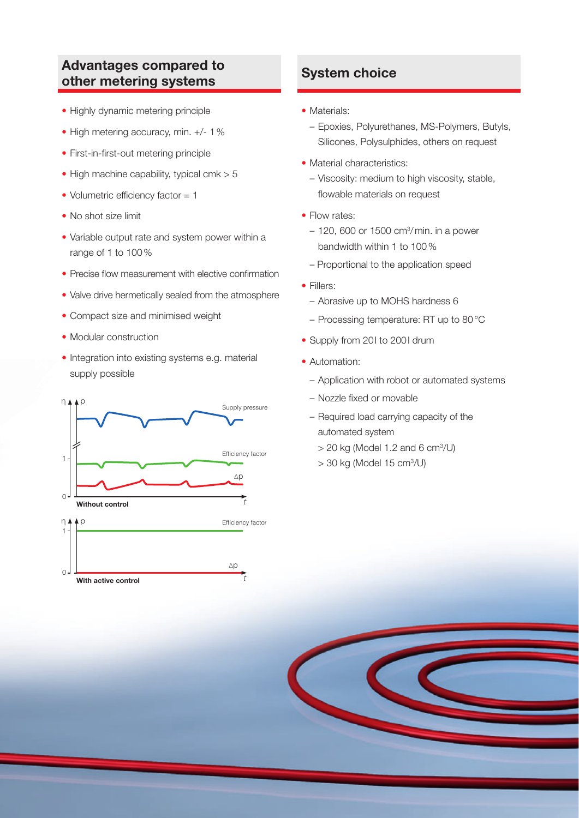#### **Advantages compared to other metering systems**

- Highly dynamic metering principle
- High metering accuracy, min. +/- 1%
- First-in-first-out metering principle
- $\bullet$  High machine capability, typical cmk  $> 5$
- Volumetric efficiency factor  $= 1$
- No shot size limit
- Variable output rate and system power within a range of 1 to 100 %
- Precise flow measurement with elective confirmation
- Valve drive hermetically sealed from the atmosphere
- Compact size and minimised weight
- Modular construction
- Integration into existing systems e.g. material supply possible



#### **System choice**

- Materials:
	- Epoxies, Polyurethanes, MS-Polymers, Butyls, Silicones, Polysulphides, others on request
- Material characteristics:
	- Viscosity: medium to high viscosity, stable, flowable materials on request
- Flow rates:
	- 120, 600 or 1500 cm3 / min. in a power bandwidth within 1 to 100 %
	- Proportional to the application speed
- Fillers:
	- Abrasive up to MOHS hardness 6
	- Processing temperature: RT up to 80 °C
- Supply from 201 to 2001 drum
- Automation:
	- Application with robot or automated systems
	- Nozzle fixed or movable
	- Required load carrying capacity of the automated system
		- $>$  20 kg (Model 1.2 and 6 cm $\frac{3}{U}$ )
		- > 30 kg (Model 15 cm3 /U)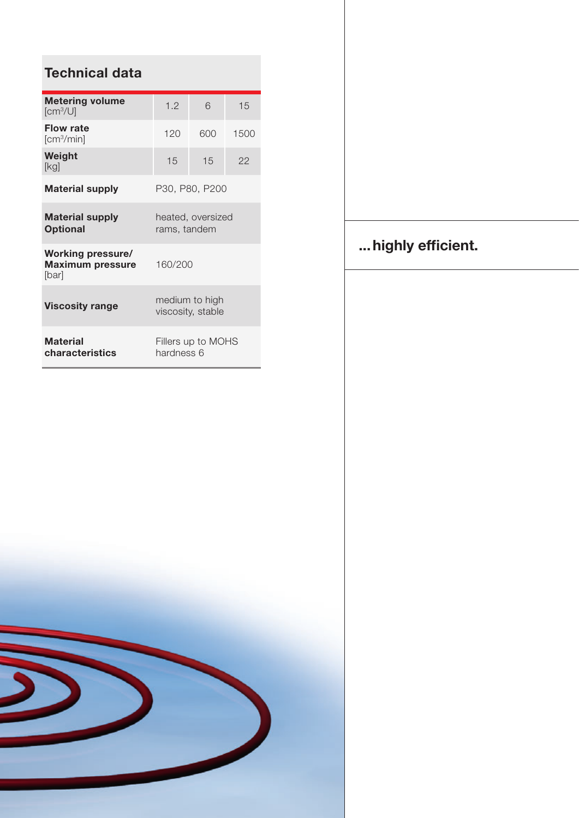| <b>Technical data</b>                                        |                                     |     |      |
|--------------------------------------------------------------|-------------------------------------|-----|------|
| <b>Metering volume</b><br>[cm <sup>3</sup> /U]               | 1.2                                 | 6   | 15   |
| <b>Flow rate</b><br>[cm <sup>3</sup> /min]                   | 120                                 | 600 | 1500 |
| Weight<br>[kg]                                               | 15                                  | 15  | 22   |
| <b>Material supply</b>                                       | P30, P80, P200                      |     |      |
| <b>Material supply</b><br><b>Optional</b>                    | heated, oversized<br>rams, tandem   |     |      |
| <b>Working pressure/</b><br><b>Maximum pressure</b><br>[bar] | 160/200                             |     |      |
| <b>Viscosity range</b>                                       | medium to high<br>viscosity, stable |     |      |
| <b>Material</b><br>characteristics                           | Fillers up to MOHS<br>hardness 6    |     |      |



## ... highly efficient.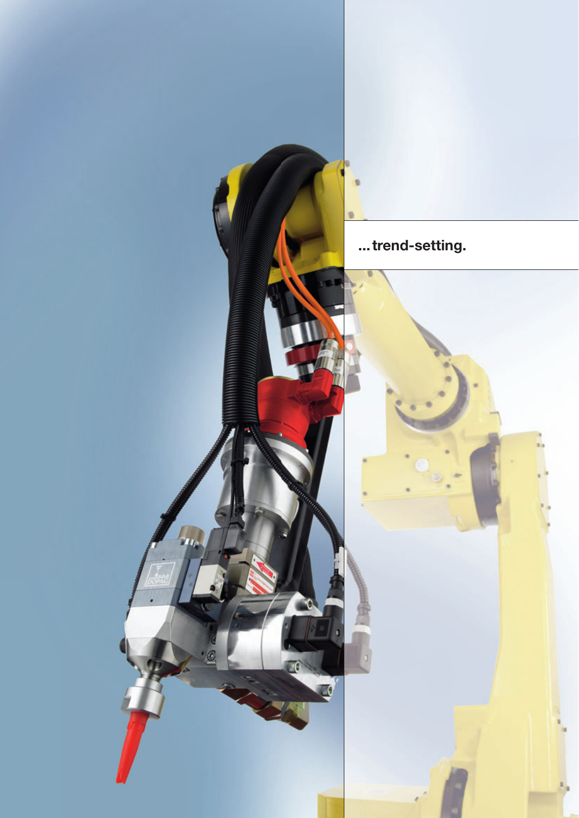